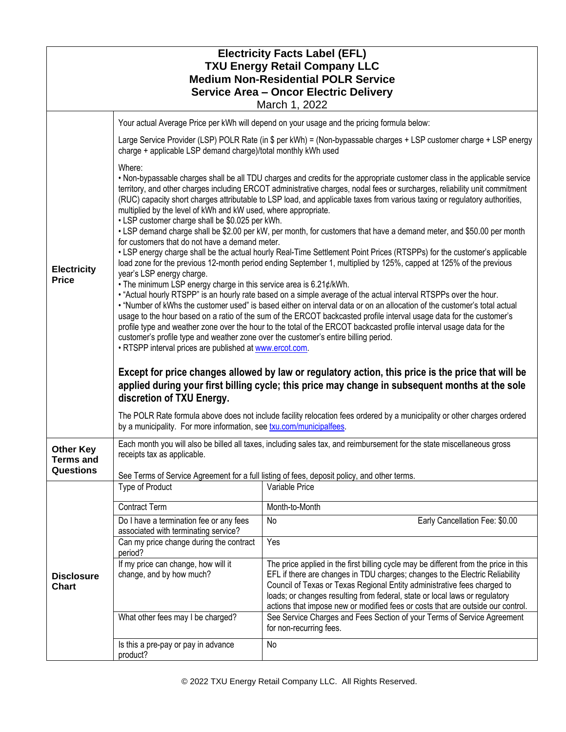| <b>Electricity Facts Label (EFL)</b><br><b>TXU Energy Retail Company LLC</b><br><b>Medium Non-Residential POLR Service</b><br><b>Service Area - Oncor Electric Delivery</b><br>March 1, 2022 |                                                                                                                                                                                                                                                                                                                                                                                                                                                                                                                                                                                                                                                                                                                                                   |                                                                                                                                                                                                                                                                                                                                                                                                                    |  |  |
|----------------------------------------------------------------------------------------------------------------------------------------------------------------------------------------------|---------------------------------------------------------------------------------------------------------------------------------------------------------------------------------------------------------------------------------------------------------------------------------------------------------------------------------------------------------------------------------------------------------------------------------------------------------------------------------------------------------------------------------------------------------------------------------------------------------------------------------------------------------------------------------------------------------------------------------------------------|--------------------------------------------------------------------------------------------------------------------------------------------------------------------------------------------------------------------------------------------------------------------------------------------------------------------------------------------------------------------------------------------------------------------|--|--|
|                                                                                                                                                                                              |                                                                                                                                                                                                                                                                                                                                                                                                                                                                                                                                                                                                                                                                                                                                                   | Your actual Average Price per kWh will depend on your usage and the pricing formula below:                                                                                                                                                                                                                                                                                                                         |  |  |
| <b>Electricity</b><br><b>Price</b>                                                                                                                                                           | Large Service Provider (LSP) POLR Rate (in \$ per kWh) = (Non-bypassable charges + LSP customer charge + LSP energy<br>charge + applicable LSP demand charge)/total monthly kWh used                                                                                                                                                                                                                                                                                                                                                                                                                                                                                                                                                              |                                                                                                                                                                                                                                                                                                                                                                                                                    |  |  |
|                                                                                                                                                                                              | Where:<br>. Non-bypassable charges shall be all TDU charges and credits for the appropriate customer class in the applicable service<br>territory, and other charges including ERCOT administrative charges, nodal fees or surcharges, reliability unit commitment<br>(RUC) capacity short charges attributable to LSP load, and applicable taxes from various taxing or regulatory authorities,<br>multiplied by the level of kWh and kW used, where appropriate.<br>• LSP customer charge shall be \$0.025 per kWh.                                                                                                                                                                                                                             |                                                                                                                                                                                                                                                                                                                                                                                                                    |  |  |
|                                                                                                                                                                                              | • LSP demand charge shall be \$2.00 per kW, per month, for customers that have a demand meter, and \$50.00 per month<br>for customers that do not have a demand meter.<br>• LSP energy charge shall be the actual hourly Real-Time Settlement Point Prices (RTSPPs) for the customer's applicable<br>load zone for the previous 12-month period ending September 1, multiplied by 125%, capped at 125% of the previous                                                                                                                                                                                                                                                                                                                            |                                                                                                                                                                                                                                                                                                                                                                                                                    |  |  |
|                                                                                                                                                                                              | year's LSP energy charge.<br>. The minimum LSP energy charge in this service area is 6.21¢/kWh.<br>• "Actual hourly RTSPP" is an hourly rate based on a simple average of the actual interval RTSPPs over the hour.<br>. "Number of kWhs the customer used" is based either on interval data or on an allocation of the customer's total actual<br>usage to the hour based on a ratio of the sum of the ERCOT backcasted profile interval usage data for the customer's<br>profile type and weather zone over the hour to the total of the ERCOT backcasted profile interval usage data for the<br>customer's profile type and weather zone over the customer's entire billing period.<br>. RTSPP interval prices are published at www.ercot.com. |                                                                                                                                                                                                                                                                                                                                                                                                                    |  |  |
|                                                                                                                                                                                              | Except for price changes allowed by law or regulatory action, this price is the price that will be<br>applied during your first billing cycle; this price may change in subsequent months at the sole<br>discretion of TXU Energy.<br>The POLR Rate formula above does not include facility relocation fees ordered by a municipality or other charges ordered<br>by a municipality. For more information, see txu.com/municipalfees.                                                                                                                                                                                                                                                                                                             |                                                                                                                                                                                                                                                                                                                                                                                                                    |  |  |
| <b>Other Key</b><br><b>Terms and</b>                                                                                                                                                         | Each month you will also be billed all taxes, including sales tax, and reimbursement for the state miscellaneous gross<br>receipts tax as applicable.                                                                                                                                                                                                                                                                                                                                                                                                                                                                                                                                                                                             |                                                                                                                                                                                                                                                                                                                                                                                                                    |  |  |
| Questions                                                                                                                                                                                    | See Terms of Service Agreement for a full listing of fees, deposit policy, and other terms.                                                                                                                                                                                                                                                                                                                                                                                                                                                                                                                                                                                                                                                       |                                                                                                                                                                                                                                                                                                                                                                                                                    |  |  |
| <b>Disclosure</b><br><b>Chart</b>                                                                                                                                                            | Type of Product                                                                                                                                                                                                                                                                                                                                                                                                                                                                                                                                                                                                                                                                                                                                   | Variable Price                                                                                                                                                                                                                                                                                                                                                                                                     |  |  |
|                                                                                                                                                                                              | <b>Contract Term</b>                                                                                                                                                                                                                                                                                                                                                                                                                                                                                                                                                                                                                                                                                                                              | Month-to-Month                                                                                                                                                                                                                                                                                                                                                                                                     |  |  |
|                                                                                                                                                                                              | Do I have a termination fee or any fees<br>associated with terminating service?                                                                                                                                                                                                                                                                                                                                                                                                                                                                                                                                                                                                                                                                   | Early Cancellation Fee: \$0.00<br>No                                                                                                                                                                                                                                                                                                                                                                               |  |  |
|                                                                                                                                                                                              | Can my price change during the contract<br>period?                                                                                                                                                                                                                                                                                                                                                                                                                                                                                                                                                                                                                                                                                                | Yes                                                                                                                                                                                                                                                                                                                                                                                                                |  |  |
|                                                                                                                                                                                              | If my price can change, how will it<br>change, and by how much?                                                                                                                                                                                                                                                                                                                                                                                                                                                                                                                                                                                                                                                                                   | The price applied in the first billing cycle may be different from the price in this<br>EFL if there are changes in TDU charges; changes to the Electric Reliability<br>Council of Texas or Texas Regional Entity administrative fees charged to<br>loads; or changes resulting from federal, state or local laws or regulatory<br>actions that impose new or modified fees or costs that are outside our control. |  |  |
|                                                                                                                                                                                              | What other fees may I be charged?                                                                                                                                                                                                                                                                                                                                                                                                                                                                                                                                                                                                                                                                                                                 | See Service Charges and Fees Section of your Terms of Service Agreement<br>for non-recurring fees.                                                                                                                                                                                                                                                                                                                 |  |  |
|                                                                                                                                                                                              | Is this a pre-pay or pay in advance<br>product?                                                                                                                                                                                                                                                                                                                                                                                                                                                                                                                                                                                                                                                                                                   | No                                                                                                                                                                                                                                                                                                                                                                                                                 |  |  |